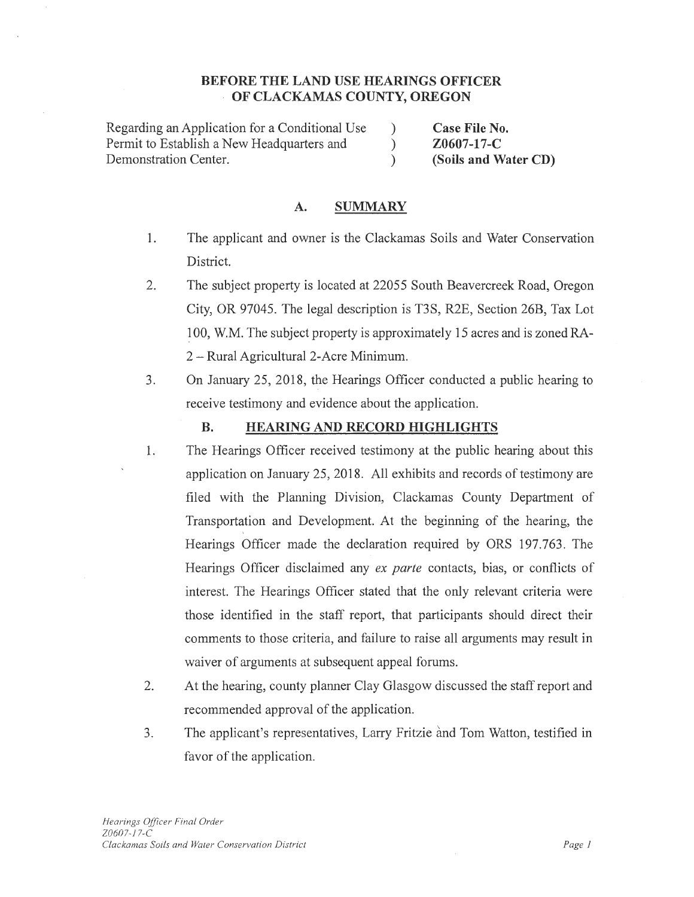## **BEFORE THE LAND USE HEARINGS OFFICER OF CLACKAMAS COUNTY, OREGON**

Regarding an Application for a Conditional Use Permit to Establish a New Headquarters and Demonstration Center.

**Case File No. Z0607-17-C (Soils and Water CD)** 

#### **A. SUMMARY**

1. The applicant and owner is the Clackamas Soils and Water Conservation District.

) ) )

- 2. The subject property is located at 22055 South Beavercreek Road, Oregon City, OR 97045. The legal description is T3S, R2E, Section 26B, Tax Lot 100, W.M. The subject property is approximately 15 acres and is zoned RA-2 - Rural Agricultural 2-Acre Minimum.
- 3. On January 25, 2018, the Hearings Officer conducted a public hearing to receive testimony and evidence about the application.

#### **B. HEARING AND RECORD HIGHLIGHTS**

- 1. The Hearings Officer received testimony at the public hearing about this application on January 25, 2018. All exhibits and records of testimony are filed with the Planning Division, Clackamas County Department of Transportation and Development. At the beginning of the hearing, the Hearings Officer made the declaration required by ORS 197.763. The Hearings Officer disclaimed any *ex parte* contacts, bias, or conflicts of interest. The Hearings Officer stated that the only relevant criteria were those identified in the staff report, that participants should direct their comments to those criteria, and failure to raise all arguments may result in waiver of arguments at subsequent appeal forums.
- 2. At the hearing, county planner Clay Glasgow discussed the staff report and recommended approval of the application.
- 3. The applicant's representatives, Larry Fritzie and Tom Watton, testified in favor of the application.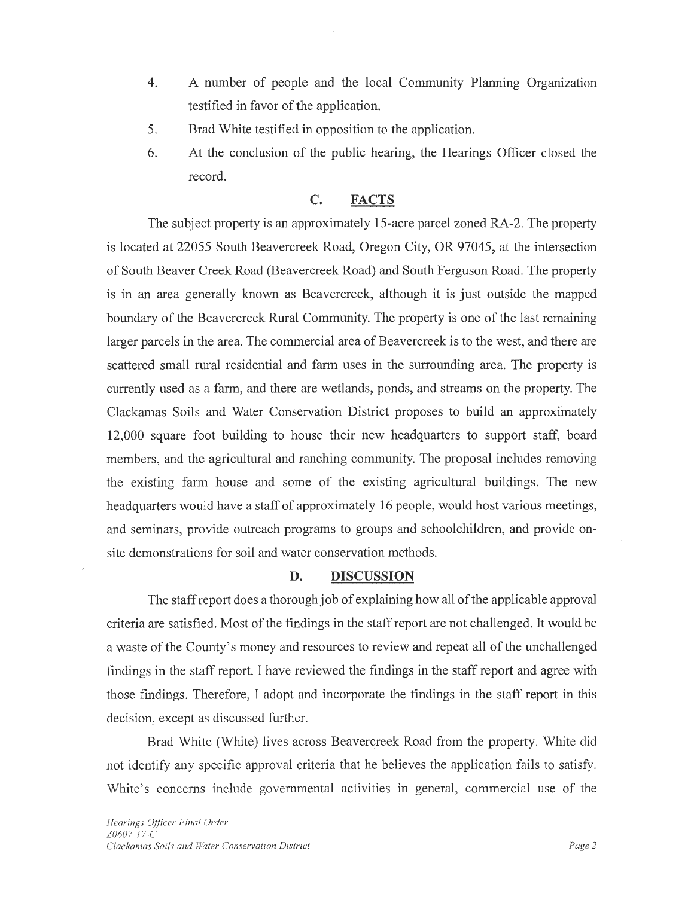- 4. A number of people and the local Community Planning Organization testified in favor of the application.
- 5. Brad White testified in opposition to the application.
- 6. At the conclusion of the public hearing, the Hearings Officer closed the record.

## **C. FACTS**

The subject property is an approximately 15-acre parcel zoned RA-2. The property is located at 22055 South Beavercreek Road, Oregon City, OR 97045, at the intersection of South Beaver Creek Road (Beavercreek Road) and South Ferguson Road. The property is in an area generally known as Beavercreek, although it is just outside the mapped boundary of the Beavercreek Rural Community. The property is one of the last remaining larger parcels in the area. The commercial area of Beavercreek is to the west, and there are scattered small rural residential and farm uses in the surrounding area. The property is currently used as a farm, and there are wetlands, ponds, and streams on the property. The Clackamas Soils and Water Conservation District proposes to build an approximately 12,000 square foot building to house their new headquarters to support staff, board members, and the agricultural and ranching community. The proposal includes removing the existing farm house and some of the existing agricultural buildings. The new headquarters would have a staff of approximately 16 people, would host various meetings, and seminars, provide outreach programs to groups and schoolchildren, and provide onsite demonstrations for soil and water conservation methods.

## **D. DISCUSSION**

The staff report does a thorough job of explaining how all of the applicable approval criteria are satisfied. Most of the findings in the staff report are not challenged. It would be a waste of the County's money and resources to review and repeat all of the unchallenged findings in the staff report. I have reviewed the findings in the staff report and agree with those findings. Therefore, I adopt and incorporate the findings in the staff report in this decision, except as discussed further.

Brad White (White) lives across Beavercreek Road from the property. White did not identify any specific approval criteria that he believes the application fails to satisfy. White's concerns include governmental activities in general, commercial use of the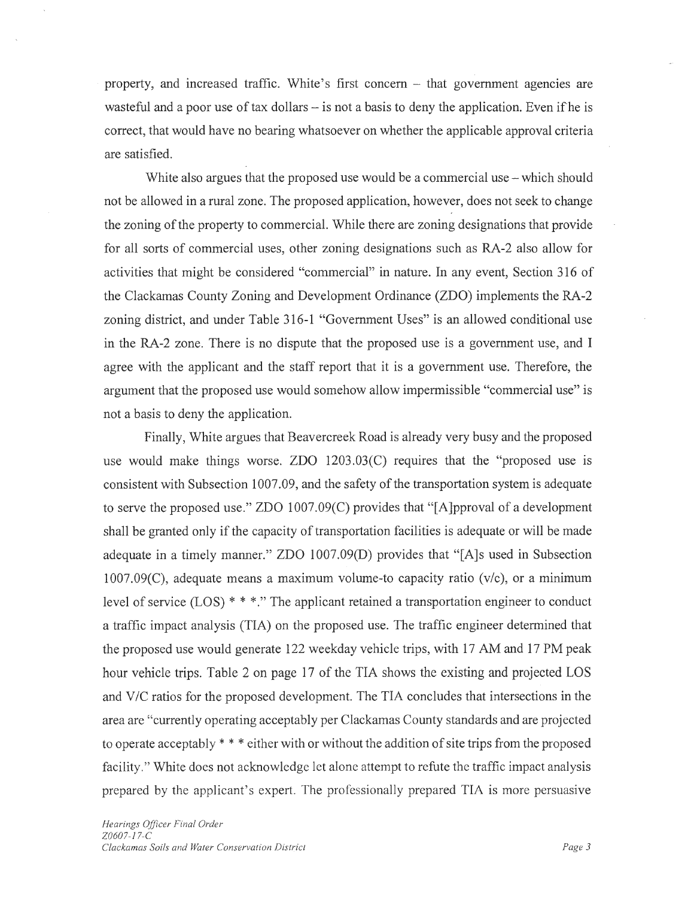property, and increased traffic. White's first concern – that government agencies are wasteful and a poor use of tax dollars  $-$  is not a basis to deny the application. Even if he is correct, that would have no bearing whatsoever on whether the applicable approval criteria are satisfied.

White also argues that the proposed use would be a commercial use – which should not be allowed in a rural zone. The proposed application, however, does not seek to change the zoning of the property to commercial. While there are zoning designations that provide for all sorts of commercial uses, other zoning designations such as RA-2 also allow for activities that might be considered "commercial" in nature. In any event, Section 316 of the Clackamas County Zoning and Development Ordinance (ZDO) implements the RA-2 zoning district, and under Table 316-1 "Government Uses" is an allowed conditional use in the RA-2 zone. There is no dispute that the proposed use is a government use, and I agree with the applicant and the staff report that it is a government use. Therefore, the argument that the proposed use would somehow allow impermissible "commercial use" is not a basis to deny the application.

Finally, White argues that Beavercreek Road is already very busy and the proposed use would make things worse. ZDO 1203.03(C) requires that the "proposed use is consistent with Subsection 1007.09, and the safety of the transportation system is adequate to serve the proposed use." ZDO 1007.09(C) provides that "[A]pproval of a development shall be granted only if the capacity of transportation facilities is adequate or will be made adequate in a timely manner." ZDO 1007.09(D) provides that "[A]s used in Subsection  $1007.09(C)$ , adequate means a maximum volume-to capacity ratio (v/c), or a minimum level of service (LOS) \* \* \*." The applicant retained a transportation engineer to conduct a traffic impact analysis (TIA) on the proposed use. The traffic engineer determined that the proposed use would generate 122 weekday vehicle trips, with 17 AM and 17 PM peak hour vehicle trips. Table 2 on page 17 of the TIA shows the existing and projected LOS and V/C ratios for the proposed development. The TIA concludes that intersections in the area are "currently operating acceptably per Clackamas County standards and are projected to operate acceptably \* \* \* either with or without the addition of site trips from the proposed facility." White does not acknowledge let alone attempt to refute the traffic impact analysis prepared by the applicant's expert. The professionally prepared TIA is more persuasive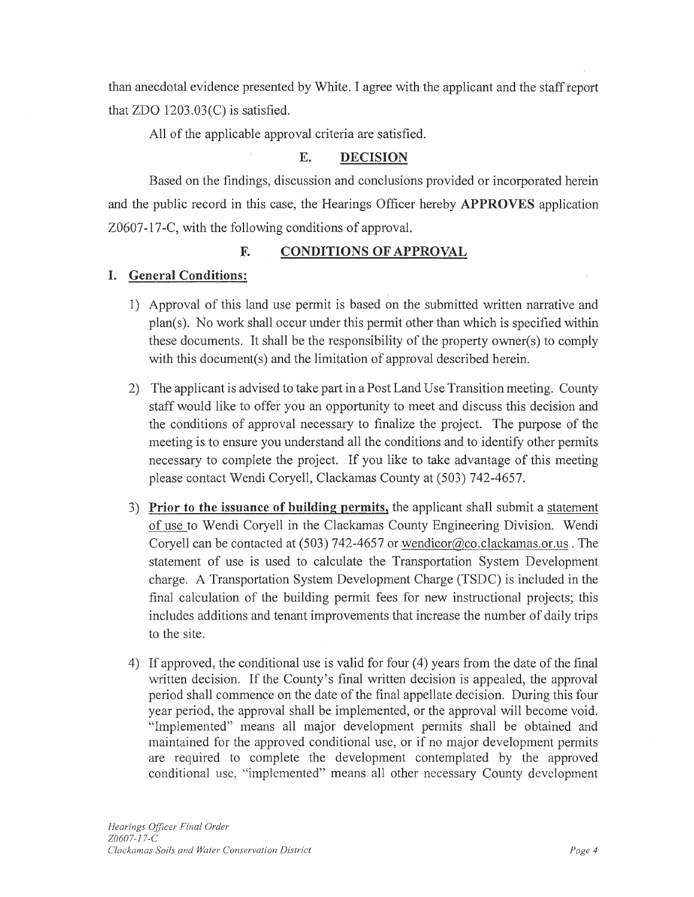than anecdotal evidence presented by White. I agree with the applicant and the staff report that ZDO 1203.03(C) is satisfied.

All of the applicable approval criteria are satisfied.

## **E. DECISION**

Based on the findings, discussion and conclusions provided or incorporated herein and the public record in this case, the Hearings Officer hereby **APPROVES** application Z0607-17-C, with the following conditions of approval.

## **F. CONDITIONS OF APPROVAL**

## **I. General Conditions:**

- 1) Approval of this land use permit is based on the submitted written narrative and plan(s). No work shall occur under this permit other than which is specified within these documents. It shall be the responsibility of the property owner(s) to comply with this document(s) and the limitation of approval described herein.
- 2) The applicant is advised to take part in a Post Land Use Transition meeting. County staff would like to offer you an opportunity to meet and discuss this decision and the conditions of approval necessary to finalize the project. The purpose of the meeting is to ensure you understand all the conditions and to identify other permits necessary to complete the project. If you like to take advantage of this meeting please contact Wendi Coryell, Clackamas County at (503) 742-4657.
- 3) **Prior to the issuance of building permits,** the applicant shall submit a statement of use to Wendi Coryell in the Clackamas County Engineering Division. Wendi Coryell can be contacted at  $(503)$  742-4657 or wendicor@co.clackamas.or.us . The statement of use is used to calculate the Transportation System Development charge. A Transportation System Development Charge (TSDC) is included in the final calculation of the building permit fees for new instructional projects; this includes additions and tenant improvements that increase the number of daily trips to the site.
- 4) If approved, the conditional use is valid for four (4) years from the date of the final written decision. If the County's final written decision is appealed, the approval period shall commence on the date of the final appellate decision. During this four year period, the approval shall be implemented, or the approval will become void. "Implemented" means all major development permits shall be obtained and maintained for the approved conditional use, or if no major development permits are required to complete the development contemplated by the approved conditional use, "implemented" means all other necessary County development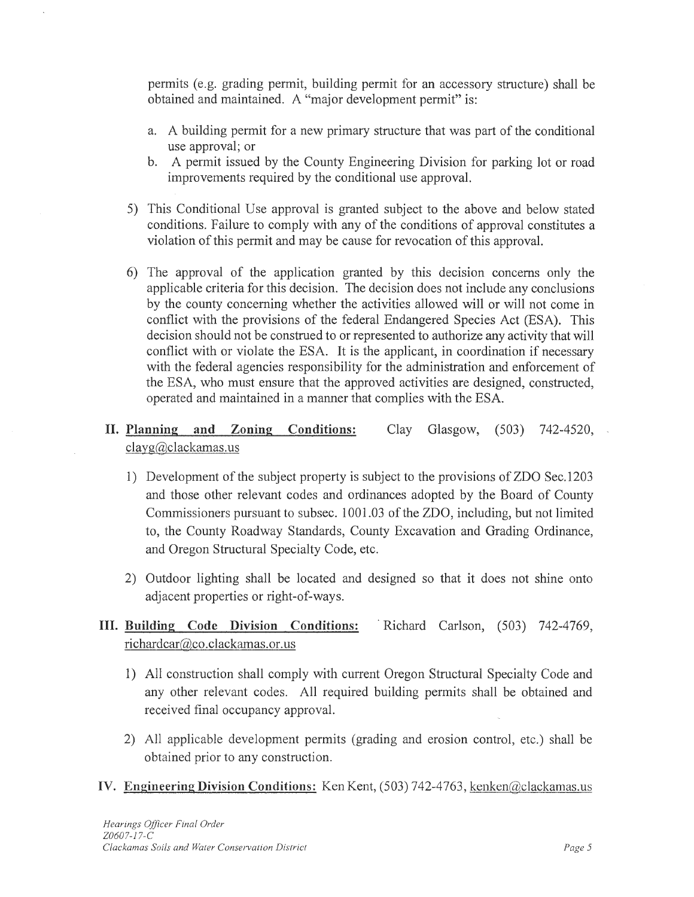permits (e.g. grading permit, building permit for an accessory structure) shall be obtained and maintained. A "major development permit" is:

- a. A building permit for a new primary structure that was part of the conditional use approval; or
- b. A permit issued by the County Engineering Division for parking lot or road improvements required by the conditional use approval.
- 5) This Conditional Use approval is granted subject to the above and below stated conditions. Failure to comply with any of the conditions of approval constitutes a violation of this permit and may be cause for revocation of this approval.
- 6) The approval of the application granted by this decision concerns only the applicable criteria for this decision. The decision does not include any conclusions by the county concerning whether the activities allowed will or will not come in conflict with the provisions of the federal Endangered Species Act (ESA). This decision should not be construed to or represented to authorize any activity that will conflict with or violate the ESA. It is the applicant, in coordination if necessary with the federal agencies responsibility for the administration and enforcement of the ESA, who must ensure that the approved activities are designed, constructed, operated and maintained in a manner that complies with the ESA.

#### **II. Planning and Zoning Conditions:**  clayg@clackamas.us Clay Glasgow, (503) 742-4520,

- 1) Development of the subject property is subject to the provisions of ZDO Sec.1203 and those other relevant codes and ordinances adopted by the Board of County Commissioners pursuant to subsec. 1001 .03 of the ZDO, including, but not limited to, the County Roadway Standards, County Excavation and Grading Ordinance, and Oregon Structural Specialty Code, etc.
- 2) Outdoor lighting shall be located and designed so that it does not shine onto adjacent properties or right-of-ways.

# **III. Building Code Division Conditions:** · Richard Carlson, (503) 742-4769, richardcar@co.clackamas.or.us

- 1) All construction shall comply with current Oregon Structural Specialty Code and any other relevant codes. All required building permits shall be obtained and received final occupancy approval.
- 2) All applicable development permits (grading and erosion control, etc.) shall be obtained prior to any construction.
- IV. **Engineering Division Conditions:** Ken Kent, (503) 742-4763, kenken@clackamas.us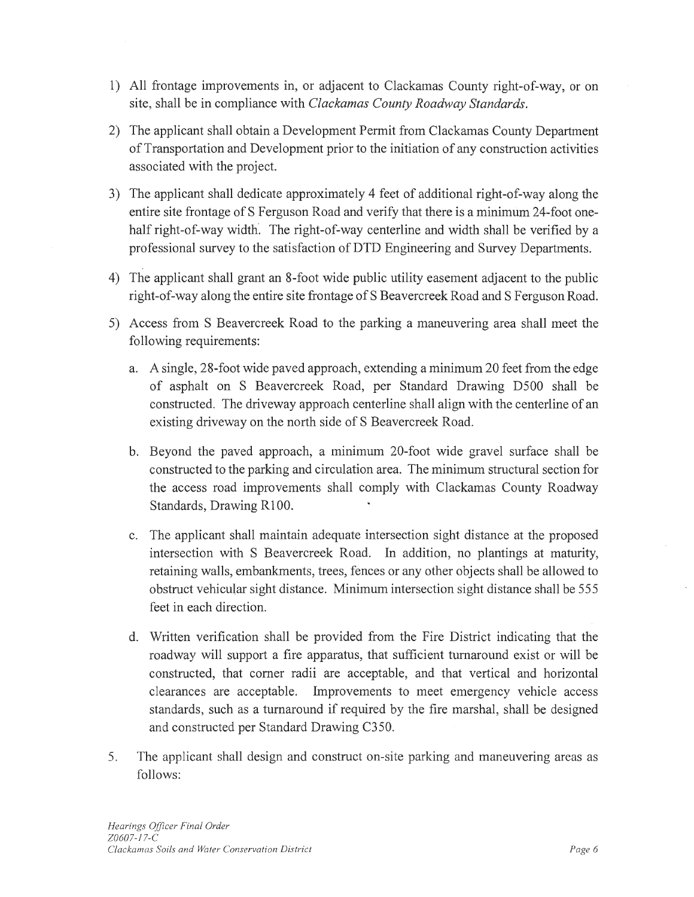- 1) All frontage improvements in, or adjacent to Clackamas County right-of-way, or on site, shall be in compliance with *Clackamas County Roadway Standards.*
- 2) The applicant shall obtain a Development Permit from Clackamas County Department of Transportation and Development prior to the initiation of any construction activities associated with the project.
- 3) The applicant shall dedicate approximately 4 feet of additional right-of-way along the entire site frontage of S Ferguson Road and verify that there is a minimum 24-foot onehalf right-of-way width. The right-of-way centerline and width shall be verified by a professional survey to the satisfaction of DTD Engineering and Survey Departments.
- 4) The applicant shall grant an 8-foot wide public utility easement adjacent to the public right-of-way along the entire site frontage of S Beavercreek Road and S Ferguson Road.
- 5) Access from S Beavercreek Road to the parking a maneuvering area shall meet the following requirements:
	- a. A single, 28-footwide paved approach, extending a minimum 20 feet from the edge of asphalt on S Beavercreek Road, per Standard Drawing D500 shall be constructed. The driveway approach centerline shall align with the centerline of an existing driveway on the north side of S Beavercreek Road.
	- b. Beyond the paved approach, a minimum 20-foot wide gravel surface shall be constructed to the parking and circulation area. The minimum structural section for the access road improvements shall comply with Clackamas County Roadway Standards, Drawing Rl 00.
	- c. The applicant shall maintain adequate intersection sight distance at the proposed intersection with S Beavercreek Road. In addition, no plantings at maturity, retaining walls, embankments, trees, fences or any other objects shall be allowed to obstruct vehicular sight distance. Minimum intersection sight distance shall be 555 feet in each direction.
	- d. Written verification shall be provided from the Fire District indicating that the roadway will support a fire apparatus, that sufficient turnaround exist or will be constructed, that comer radii are acceptable, and that vertical and horizontal clearances are acceptable. Improvements to meet emergency vehicle access standards, such as a turnaround if required by the fire marshal, shall be designed and constructed per Standard Drawing C350.
- 5. The applicant shall design and construct on-site parking and maneuvering areas as follows: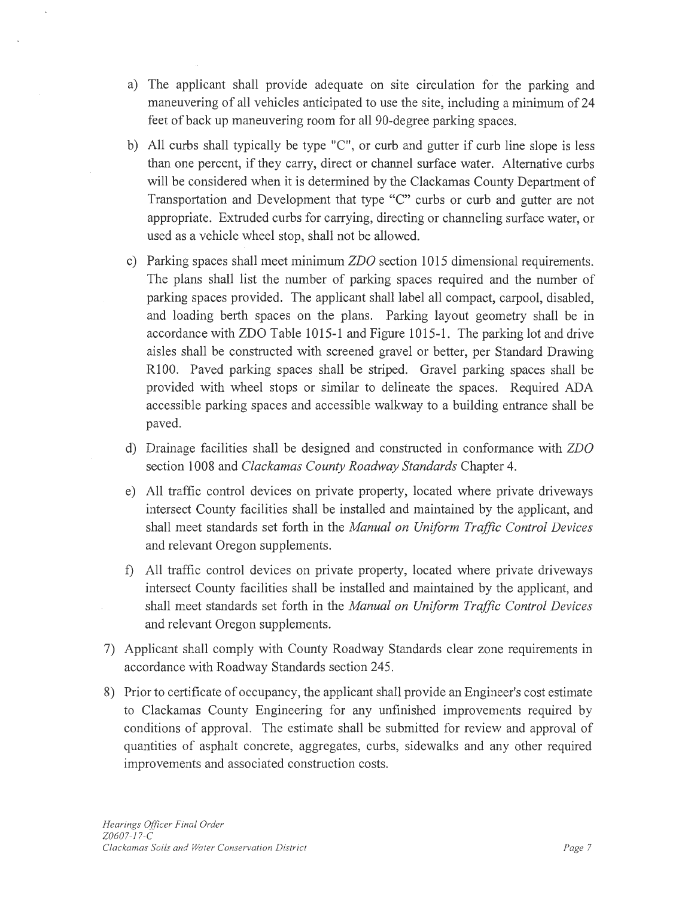- a) The applicant shall provide adequate on site circulation for the parking and maneuvering of all vehicles anticipated to use the site, including a minimum of 24 feet of back up maneuvering room for all 90-degree parking spaces.
- b) All curbs shall typically be type "C", or curb and gutter if curb line slope is less than one percent, if they carry, direct or channel surface water. Alternative curbs will be considered when it is determined by the Clackamas County Department of Transportation and Development that type "C" curbs or curb and gutter are not appropriate. Extruded curbs for carrying, directing or channeling surface water, or used as a vehicle wheel stop, shall not be allowed.
- c) Parking spaces shall meet minimum *ZDO* section 1015 dimensional requirements. The plans shall list the number of parking spaces required and the number of parking spaces provided. The applicant shall label all compact, carpool, disabled, and loading berth spaces on the plans. Parking layout geometry shall be in accordance with ZDO Table 1015-1 and Figure 1015-1. The parking lot and drive aisles shall be constructed with screened gravel or better, per Standard Drawing R100. Paved parking spaces shall be striped. Gravel parking spaces shall be provided with wheel stops or similar to delineate the spaces. Required ADA accessible parking spaces and accessible walkway to a building entrance shall be paved.
- d) Drainage facilities shall be designed and constructed in conformance with *ZDO*  section 1008 and *Clackamas County Roadway Standards* Chapter 4.
- e) All traffic control devices on private property, located where private driveways intersect County facilities shall be installed and maintained by the applicant, and shall meet standards set forth in the *Manual on Uniform Traffic Control Devices*  and relevant Oregon supplements.
- f) All traffic control devices on private property, located where private driveways intersect County facilities shall be installed and maintained by the applicant, and shall meet standards set forth in the *Manual on Uniform Traffic Control Devices*  and relevant Oregon supplements.
- 7) Applicant shall comply with County Roadway Standards clear zone requirements in accordance with Roadway Standards section 245.
- 8) Prior to certificate of occupancy, the applicant shall provide an Engineer's cost estimate to Clackamas County Engineering for any unfinished improvements required by conditions of approval. The estimate shall be submitted for review and approval of quantities of asphalt concrete, aggregates, curbs, sidewalks and any other required improvements and associated construction costs.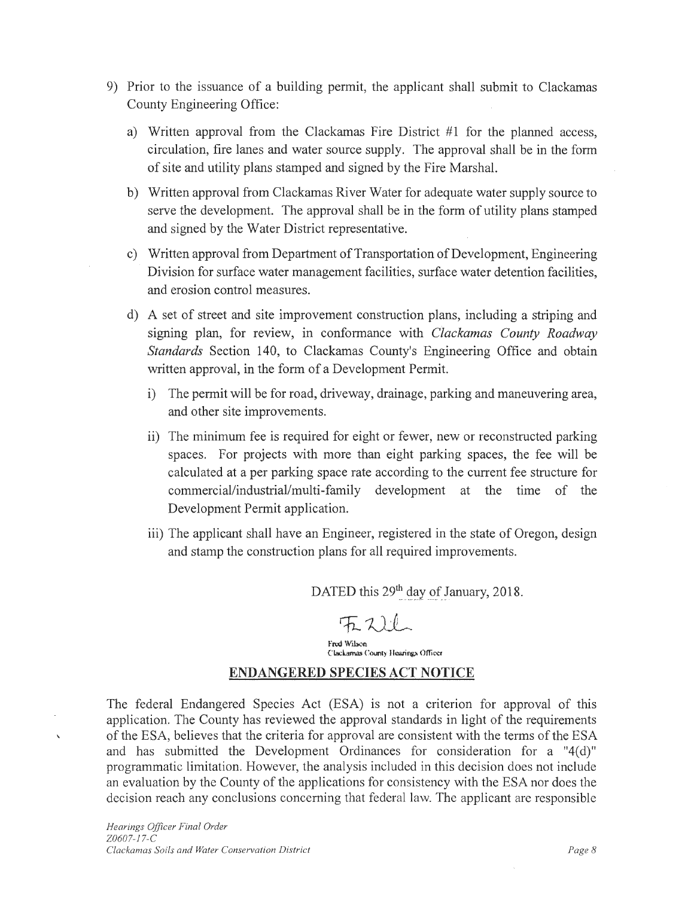- 9) Prior to the issuance of a building permit, the applicant shall submit to Clackamas County Engineering Office:
	- a) Written approval from the Clackamas Fire District #1 for the planned access, circulation, fire lanes and water source supply. The approval shall be in the form of site and utility plans stamped and signed by the Fire Marshal.
	- b) Written approval from Clackamas River Water for adequate water supply source to serve the development. The approval shall be in the form of utility plans stamped and signed by the Water District representative.
	- c) Written approval from Department of Transportation of Development, Engineering Division for surface water management facilities, surface water detention facilities, and erosion control measures.
	- d) A set of street and site improvement construction plans, including a striping and signing plan, for review, in conformance with *Clackamas County Roadway Standards* Section 140, to Clackamas County's Engineering Office and obtain written approval, in the form of a Development Permit.
		- i) The permit will be for road, driveway, drainage, parking and maneuvering area, and other site improvements.
		- ii) The minimum fee is required for eight or fewer, new or reconstructed parking spaces. For projects with more than eight parking spaces, the fee will be calculated at a per parking space rate according to the current fee structure for commercial/industrial/multi-family development at the time of the Development Permit application.
		- iii) The applicant shall have an Engineer, registered in the state of Oregon, design and stamp the construction plans for all required improvements.

DATED this 29<sup>th</sup> day of January, 2018.

l'nxl W'ilsoo Clackamas County Hearings Officer

#### **ENDANGERED SPECIES ACT NOTICE**

The federal Endangered Species Act (ESA) is not a criterion for approval of this application. The County has reviewed the approval standards in light of the requirements of the ESA, believes that the criteria for approval are consistent with the terms of the ESA and has submitted the Development Ordinances for consideration for a "4(d)" programmatic limitation. However, the analysis included in this decision does not include an evaluation by the County of the applications for consistency with the ESA nor does the decision reach any conclusions concerning that federal law. The applicant are responsible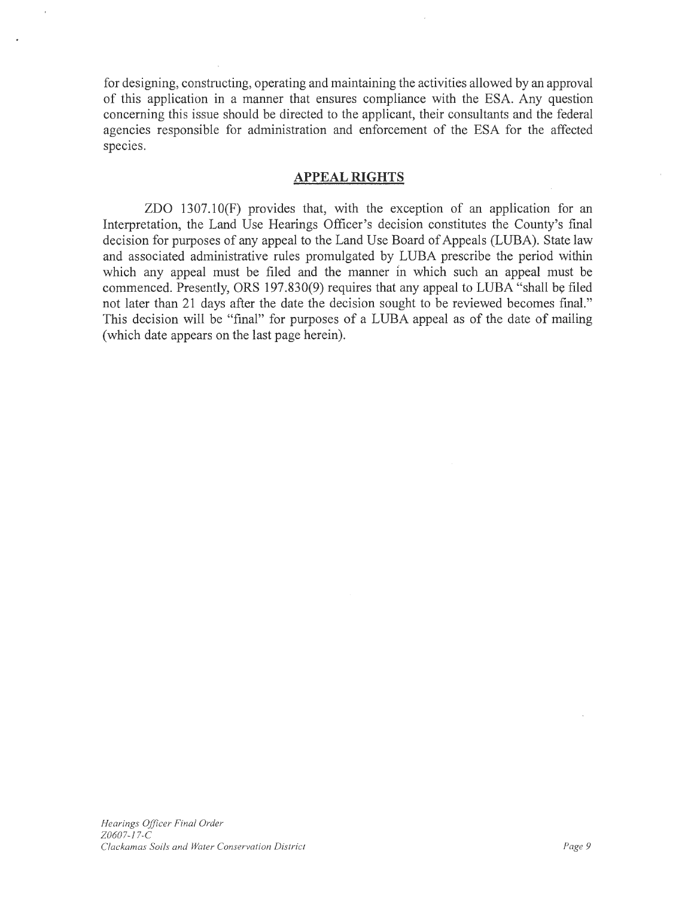for designing, constructing, operating and maintaining the activities allowed by an approval of this application in a manner that ensures compliance with the ESA. Any question concerning this issue should be directed to the applicant, their consultants and the federal agencies responsible for administration and enforcement of the ESA for the affected species.

### **APPEAL RIGHTS**

ZDO 1307.lO(F) provides that, with the exception of an application for an Interpretation, the Land Use Hearings Officer's decision constitutes the County's final decision for purposes of any appeal to the Land Use Board of Appeals (LUBA). State law and associated administrative rules promulgated by LUBA prescribe the period within which any appeal must be filed and the manner in which such an appeal must be commenced. Presently, ORS 197.830(9) requires that any appeal to LUBA "shall be filed not later than 21 days after the date the decision sought to be reviewed becomes final." This decision will be "final" for purposes of a LUBA appeal as of the date of mailing (which date appears on the last page herein).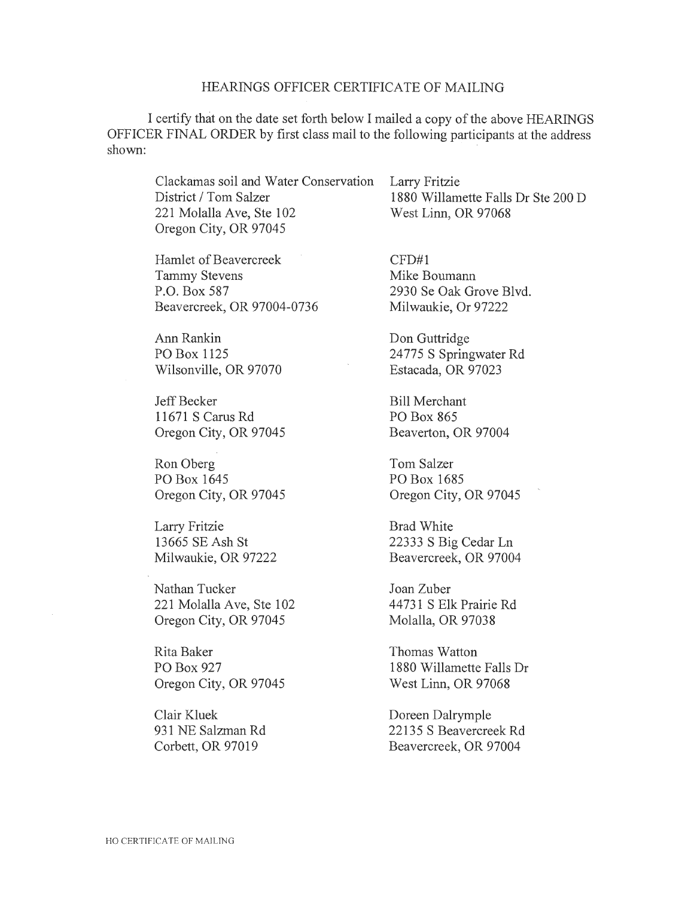#### HEARINGS OFFICER CERTIFICATE OF MAILING

I certify that on the date set forth below I mailed a copy of the above HEARINGS OFFICER FINAL ORDER by first class mail to the following participants at the address shown:

Clackamas soil and Water Conservation District / Tom Salzer 221 Molalla Ave, Ste 102 Oregon City, OR 97045

Hamlet of Beavercreek Tammy Stevens P.O. Box 587 Beavercreek, OR 97004-0736

Ann Rankin PO Box 1125 Wilsonville, OR 97070

Jeff Becker 11671 S Cams Rd Oregon City, OR 97045

Ron Oberg PO Box 1645 Oregon City, OR 97045

Larry Fritzie 13665 SE Ash St Milwaukie, OR 97222

Nathan Tucker 221 Molalla Ave, Ste 102 Oregon City, OR 97045

Rita Baker PO Box 927 Oregon City, OR 97045

Clair Kluek 931 NE Salzman Rd Corbett, OR 97019

Larry Fritzie 1880 Willamette Falls Dr Ste 200 D West Linn, OR 97068

CFD#l Mike Boumann 2930 Se Oak Grove Blvd. Milwaukie, Or 97222

Don Guttridge 24775 S Springwater Rd Estacada, OR 97023

Bill Merchant PO Box 865 Beaverton, OR 97004

Tom Salzer PO Box 1685 Oregon City, OR 97045

Brad White 22333 S Big Cedar Ln Beavercreek, OR 97004

Joan Zuber 44 731 S Elk Prairie Rd Molalla, OR 97038

Thomas Watton 1880 Willamette Falls Dr West Linn, OR 97068

Doreen Dalrymple 22135 S Beavercreek Rd Beavercreek, OR 97004